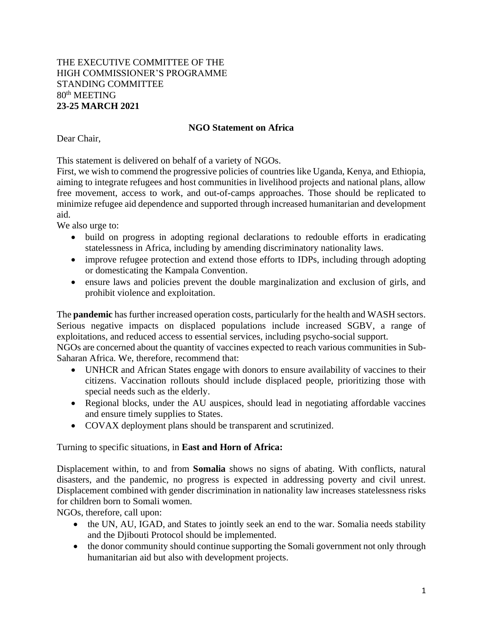## THE EXECUTIVE COMMITTEE OF THE HIGH COMMISSIONER'S PROGRAMME STANDING COMMITTEE 80th MEETING **23-25 MARCH 2021**

## **NGO Statement on Africa**

Dear Chair,

This statement is delivered on behalf of a variety of NGOs.

First, we wish to commend the progressive policies of countries like Uganda, Kenya, and Ethiopia, aiming to integrate refugees and host communities in livelihood projects and national plans, allow free movement, access to work, and out-of-camps approaches. Those should be replicated to minimize refugee aid dependence and supported through increased humanitarian and development aid.

We also urge to:

- build on progress in adopting regional declarations to redouble efforts in eradicating statelessness in Africa, including by amending discriminatory nationality laws.
- improve refugee protection and extend those efforts to IDPs, including through adopting or domesticating the Kampala Convention.
- ensure laws and policies prevent the double marginalization and exclusion of girls, and prohibit violence and exploitation.

The **pandemic** has further increased operation costs, particularly for the health and WASH sectors. Serious negative impacts on displaced populations include increased SGBV, a range of exploitations, and reduced access to essential services, including psycho-social support.

NGOs are concerned about the quantity of vaccines expected to reach various communities in Sub-Saharan Africa. We, therefore, recommend that:

- UNHCR and African States engage with donors to ensure availability of vaccines to their citizens. Vaccination rollouts should include displaced people, prioritizing those with special needs such as the elderly.
- Regional blocks, under the AU auspices, should lead in negotiating affordable vaccines and ensure timely supplies to States.
- COVAX deployment plans should be transparent and scrutinized.

## Turning to specific situations, in **East and Horn of Africa:**

Displacement within, to and from **Somalia** shows no signs of abating. With conflicts, natural disasters, and the pandemic, no progress is expected in addressing poverty and civil unrest. Displacement combined with gender discrimination in nationality law increases statelessness risks for children born to Somali women.

NGOs, therefore, call upon:

- the UN, AU, IGAD, and States to jointly seek an end to the war. Somalia needs stability and the Djibouti Protocol should be implemented.
- the donor community should continue supporting the Somali government not only through humanitarian aid but also with development projects.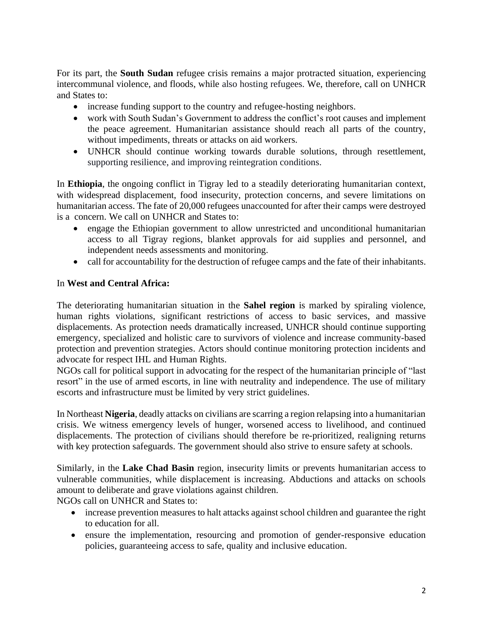For its part, the **South Sudan** refugee crisis remains a major protracted situation, experiencing intercommunal violence, and floods, while also hosting refugees. We, therefore, call on UNHCR and States to:

- increase funding support to the country and refugee-hosting neighbors.
- work with South Sudan's Government to address the conflict's root causes and implement the peace agreement. Humanitarian assistance should reach all parts of the country, without impediments, threats or attacks on aid workers.
- UNHCR should continue working towards durable solutions, through resettlement, supporting resilience, and improving reintegration conditions.

In **Ethiopia**, the ongoing conflict in Tigray led to a steadily deteriorating humanitarian context, with widespread displacement, food insecurity, protection concerns, and severe limitations on humanitarian access. The fate of 20,000 refugees unaccounted for after their camps were destroyed is a concern. We call on UNHCR and States to:

- engage the Ethiopian government to allow unrestricted and unconditional humanitarian access to all Tigray regions, blanket approvals for aid supplies and personnel, and independent needs assessments and monitoring.
- call for accountability for the destruction of refugee camps and the fate of their inhabitants.

## In **West and Central Africa:**

The deteriorating humanitarian situation in the **Sahel region** is marked by spiraling violence, human rights violations, significant restrictions of access to basic services, and massive displacements. As protection needs dramatically increased, UNHCR should continue supporting emergency, specialized and holistic care to survivors of violence and increase community-based protection and prevention strategies. Actors should continue monitoring protection incidents and advocate for respect IHL and Human Rights.

NGOs call for political support in advocating for the respect of the humanitarian principle of "last resort" in the use of armed escorts, in line with neutrality and independence. The use of military escorts and infrastructure must be limited by very strict guidelines.

In Northeast **Nigeria**, deadly attacks on civilians are scarring a region relapsing into a humanitarian crisis. We witness emergency levels of hunger, worsened access to livelihood, and continued displacements. The protection of civilians should therefore be re-prioritized, realigning returns with key protection safeguards. The government should also strive to ensure safety at schools.

Similarly, in the **Lake Chad Basin** region, insecurity limits or prevents humanitarian access to vulnerable communities, while displacement is increasing. Abductions and attacks on schools amount to deliberate and grave violations against children.

NGOs call on UNHCR and States to:

- increase prevention measures to halt attacks against school children and guarantee the right to education for all.
- ensure the implementation, resourcing and promotion of gender-responsive education policies, guaranteeing access to safe, quality and inclusive education.